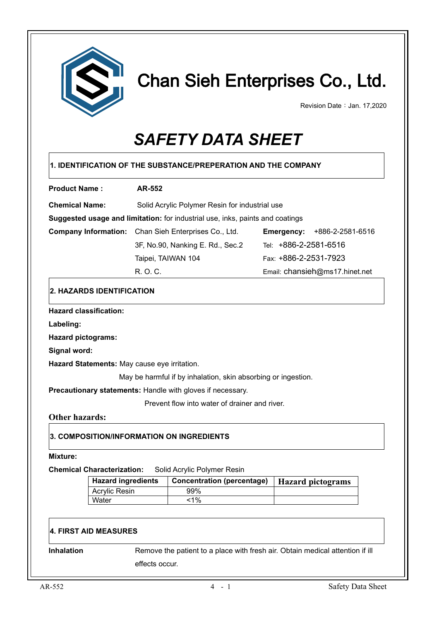

# Chan Sieh Enterprises Co., Ltd.

Revision Date: Jan. 17,2020

# *SAFETY DATA SHEET*

| <b>Product Name:</b>                                                                               | <b>AR-552</b>                                |                                                                               |                                                                               |  |  |
|----------------------------------------------------------------------------------------------------|----------------------------------------------|-------------------------------------------------------------------------------|-------------------------------------------------------------------------------|--|--|
| <b>Chemical Name:</b>                                                                              |                                              | Solid Acrylic Polymer Resin for industrial use                                |                                                                               |  |  |
|                                                                                                    |                                              | Suggested usage and limitation: for industrial use, inks, paints and coatings |                                                                               |  |  |
|                                                                                                    |                                              | <b>Company Information:</b> Chan Sieh Enterprises Co., Ltd.                   | <b>Emergency: +886-2-2581-6516</b>                                            |  |  |
|                                                                                                    |                                              | 3F, No.90, Nanking E. Rd., Sec.2                                              | Tel: +886-2-2581-6516                                                         |  |  |
|                                                                                                    |                                              | Taipei, TAIWAN 104                                                            | Fax: +886-2-2531-7923                                                         |  |  |
|                                                                                                    | R. O. C.                                     |                                                                               | Email: chansieh@ms17.hinet.net                                                |  |  |
|                                                                                                    | 2. HAZARDS IDENTIFICATION                    |                                                                               |                                                                               |  |  |
| <b>Hazard classification:</b>                                                                      |                                              |                                                                               |                                                                               |  |  |
| Labeling:                                                                                          |                                              |                                                                               |                                                                               |  |  |
| <b>Hazard pictograms:</b>                                                                          |                                              |                                                                               |                                                                               |  |  |
| Signal word:                                                                                       |                                              |                                                                               |                                                                               |  |  |
|                                                                                                    | Hazard Statements: May cause eye irritation. |                                                                               |                                                                               |  |  |
|                                                                                                    |                                              | May be harmful if by inhalation, skin absorbing or ingestion.                 |                                                                               |  |  |
|                                                                                                    |                                              | Precautionary statements: Handle with gloves if necessary.                    |                                                                               |  |  |
|                                                                                                    |                                              |                                                                               |                                                                               |  |  |
|                                                                                                    |                                              | Prevent flow into water of drainer and river.                                 |                                                                               |  |  |
|                                                                                                    |                                              |                                                                               |                                                                               |  |  |
| <b>Other hazards:</b>                                                                              |                                              | 3. COMPOSITION/INFORMATION ON INGREDIENTS                                     |                                                                               |  |  |
|                                                                                                    |                                              |                                                                               |                                                                               |  |  |
|                                                                                                    |                                              |                                                                               |                                                                               |  |  |
|                                                                                                    | <b>Hazard ingredients</b>                    | Solid Acrylic Polymer Resin                                                   |                                                                               |  |  |
|                                                                                                    | <b>Acrylic Resin</b>                         | <b>Concentration (percentage)</b><br>99%                                      | <b>Hazard</b> pictograms                                                      |  |  |
|                                                                                                    | Water                                        | $1\%$                                                                         |                                                                               |  |  |
|                                                                                                    |                                              |                                                                               |                                                                               |  |  |
|                                                                                                    |                                              |                                                                               |                                                                               |  |  |
|                                                                                                    |                                              |                                                                               |                                                                               |  |  |
| <b>Mixture:</b><br><b>Chemical Characterization:</b><br><b>4. FIRST AID MEASURES</b><br>Inhalation | effects occur.                               |                                                                               | Remove the patient to a place with fresh air. Obtain medical attention if ill |  |  |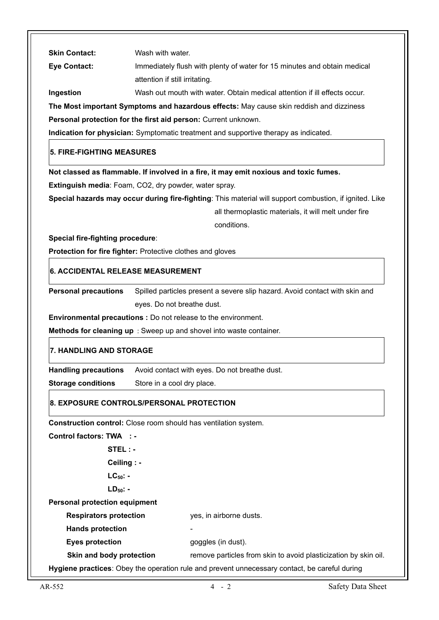| <b>Skin Contact:</b>                 | Wash with water.                                                                                        |  |
|--------------------------------------|---------------------------------------------------------------------------------------------------------|--|
| <b>Eye Contact:</b>                  | Immediately flush with plenty of water for 15 minutes and obtain medical                                |  |
|                                      | attention if still irritating.                                                                          |  |
| Ingestion                            | Wash out mouth with water. Obtain medical attention if ill effects occur.                               |  |
|                                      | The Most important Symptoms and hazardous effects: May cause skin reddish and dizziness                 |  |
|                                      | Personal protection for the first aid person: Current unknown.                                          |  |
|                                      | Indication for physician: Symptomatic treatment and supportive therapy as indicated.                    |  |
| 5. FIRE-FIGHTING MEASURES            |                                                                                                         |  |
|                                      | Not classed as flammable. If involved in a fire, it may emit noxious and toxic fumes.                   |  |
|                                      | Extinguish media: Foam, CO2, dry powder, water spray.                                                   |  |
|                                      | Special hazards may occur during fire-fighting: This material will support combustion, if ignited. Like |  |
|                                      | all thermoplastic materials, it will melt under fire                                                    |  |
|                                      | conditions.                                                                                             |  |
| Special fire-fighting procedure:     |                                                                                                         |  |
|                                      | Protection for fire fighter: Protective clothes and gloves                                              |  |
| 6. ACCIDENTAL RELEASE MEASUREMENT    |                                                                                                         |  |
| <b>Personal precautions</b>          | Spilled particles present a severe slip hazard. Avoid contact with skin and                             |  |
|                                      | eyes. Do not breathe dust.                                                                              |  |
|                                      | <b>Environmental precautions :</b> Do not release to the environment.                                   |  |
|                                      | Methods for cleaning up : Sweep up and shovel into waste container.                                     |  |
| <b>7. HANDLING AND STORAGE</b>       |                                                                                                         |  |
| <b>Handling precautions</b>          | Avoid contact with eyes. Do not breathe dust.                                                           |  |
| <b>Storage conditions</b>            | Store in a cool dry place.                                                                              |  |
|                                      | 8. EXPOSURE CONTROLS/PERSONAL PROTECTION                                                                |  |
|                                      | Construction control: Close room should has ventilation system.                                         |  |
| <b>Control factors: TWA : -</b>      |                                                                                                         |  |
| STEL : -                             |                                                                                                         |  |
| Ceiling : -                          |                                                                                                         |  |
| $LC_{50}$ : -                        |                                                                                                         |  |
| $LD_{50}$ -                          |                                                                                                         |  |
| <b>Personal protection equipment</b> |                                                                                                         |  |
| <b>Respirators protection</b>        | yes, in airborne dusts.                                                                                 |  |
| <b>Hands protection</b>              |                                                                                                         |  |
| <b>Eyes protection</b>               | goggles (in dust).                                                                                      |  |
| Skin and body protection             | remove particles from skin to avoid plasticization by skin oil.                                         |  |
|                                      | Hygiene practices: Obey the operation rule and prevent unnecessary contact, be careful during           |  |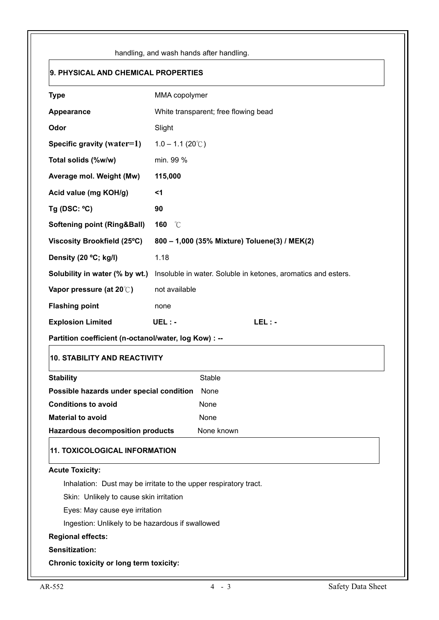| 9. PHYSICAL AND CHEMICAL PROPERTIES<br><b>Type</b><br>MMA copolymer<br>White transparent; free flowing bead<br>Appearance<br>Odor<br>Slight<br>Specific gravity (water=1)<br>$1.0 - 1.1 (20^{\circ}$ C)<br>min. 99 %<br>Total solids (%w/w)<br>Average mol. Weight (Mw)<br>115,000<br>Acid value (mg KOH/g)<br>$<$ 1<br>Tg (DSC: $°C$ )<br>90<br><b>Softening point (Ring&amp;Ball)</b><br>160<br>°C<br>Viscosity Brookfield (25°C)<br>800 - 1,000 (35% Mixture) Toluene(3) / MEK(2)<br>Density (20 °C; kg/l)<br>1.18<br>Solubility in water (% by wt.)<br>Insoluble in water. Soluble in ketones, aromatics and esters.<br>Vapor pressure (at 20°C)<br>not available<br><b>Flashing point</b><br>none<br><b>Explosion Limited</b><br>$LEL: -$<br>$UEL: -$<br>Partition coefficient (n-octanol/water, log Kow) : --<br><b>10. STABILITY AND REACTIVITY</b><br><b>Stable</b><br><b>Stability</b><br>Possible hazards under special condition<br>None<br><b>Conditions to avoid</b><br>None<br><b>Material to avoid</b><br>None<br><b>Hazardous decomposition products</b><br>None known<br><b>11. TOXICOLOGICAL INFORMATION</b><br><b>Acute Toxicity:</b><br>Inhalation: Dust may be irritate to the upper respiratory tract.<br>Skin: Unlikely to cause skin irritation<br>Eyes: May cause eye irritation<br>Ingestion: Unlikely to be hazardous if swallowed<br><b>Regional effects:</b> | handling, and wash hands after handling. |  |  |
|-------------------------------------------------------------------------------------------------------------------------------------------------------------------------------------------------------------------------------------------------------------------------------------------------------------------------------------------------------------------------------------------------------------------------------------------------------------------------------------------------------------------------------------------------------------------------------------------------------------------------------------------------------------------------------------------------------------------------------------------------------------------------------------------------------------------------------------------------------------------------------------------------------------------------------------------------------------------------------------------------------------------------------------------------------------------------------------------------------------------------------------------------------------------------------------------------------------------------------------------------------------------------------------------------------------------------------------------------------------------------------------------|------------------------------------------|--|--|
|                                                                                                                                                                                                                                                                                                                                                                                                                                                                                                                                                                                                                                                                                                                                                                                                                                                                                                                                                                                                                                                                                                                                                                                                                                                                                                                                                                                           |                                          |  |  |
|                                                                                                                                                                                                                                                                                                                                                                                                                                                                                                                                                                                                                                                                                                                                                                                                                                                                                                                                                                                                                                                                                                                                                                                                                                                                                                                                                                                           |                                          |  |  |
|                                                                                                                                                                                                                                                                                                                                                                                                                                                                                                                                                                                                                                                                                                                                                                                                                                                                                                                                                                                                                                                                                                                                                                                                                                                                                                                                                                                           |                                          |  |  |
|                                                                                                                                                                                                                                                                                                                                                                                                                                                                                                                                                                                                                                                                                                                                                                                                                                                                                                                                                                                                                                                                                                                                                                                                                                                                                                                                                                                           |                                          |  |  |
|                                                                                                                                                                                                                                                                                                                                                                                                                                                                                                                                                                                                                                                                                                                                                                                                                                                                                                                                                                                                                                                                                                                                                                                                                                                                                                                                                                                           |                                          |  |  |
|                                                                                                                                                                                                                                                                                                                                                                                                                                                                                                                                                                                                                                                                                                                                                                                                                                                                                                                                                                                                                                                                                                                                                                                                                                                                                                                                                                                           |                                          |  |  |
|                                                                                                                                                                                                                                                                                                                                                                                                                                                                                                                                                                                                                                                                                                                                                                                                                                                                                                                                                                                                                                                                                                                                                                                                                                                                                                                                                                                           |                                          |  |  |
|                                                                                                                                                                                                                                                                                                                                                                                                                                                                                                                                                                                                                                                                                                                                                                                                                                                                                                                                                                                                                                                                                                                                                                                                                                                                                                                                                                                           |                                          |  |  |
|                                                                                                                                                                                                                                                                                                                                                                                                                                                                                                                                                                                                                                                                                                                                                                                                                                                                                                                                                                                                                                                                                                                                                                                                                                                                                                                                                                                           |                                          |  |  |
|                                                                                                                                                                                                                                                                                                                                                                                                                                                                                                                                                                                                                                                                                                                                                                                                                                                                                                                                                                                                                                                                                                                                                                                                                                                                                                                                                                                           |                                          |  |  |
|                                                                                                                                                                                                                                                                                                                                                                                                                                                                                                                                                                                                                                                                                                                                                                                                                                                                                                                                                                                                                                                                                                                                                                                                                                                                                                                                                                                           |                                          |  |  |
|                                                                                                                                                                                                                                                                                                                                                                                                                                                                                                                                                                                                                                                                                                                                                                                                                                                                                                                                                                                                                                                                                                                                                                                                                                                                                                                                                                                           |                                          |  |  |
|                                                                                                                                                                                                                                                                                                                                                                                                                                                                                                                                                                                                                                                                                                                                                                                                                                                                                                                                                                                                                                                                                                                                                                                                                                                                                                                                                                                           |                                          |  |  |
|                                                                                                                                                                                                                                                                                                                                                                                                                                                                                                                                                                                                                                                                                                                                                                                                                                                                                                                                                                                                                                                                                                                                                                                                                                                                                                                                                                                           |                                          |  |  |
|                                                                                                                                                                                                                                                                                                                                                                                                                                                                                                                                                                                                                                                                                                                                                                                                                                                                                                                                                                                                                                                                                                                                                                                                                                                                                                                                                                                           |                                          |  |  |
|                                                                                                                                                                                                                                                                                                                                                                                                                                                                                                                                                                                                                                                                                                                                                                                                                                                                                                                                                                                                                                                                                                                                                                                                                                                                                                                                                                                           |                                          |  |  |
|                                                                                                                                                                                                                                                                                                                                                                                                                                                                                                                                                                                                                                                                                                                                                                                                                                                                                                                                                                                                                                                                                                                                                                                                                                                                                                                                                                                           |                                          |  |  |
|                                                                                                                                                                                                                                                                                                                                                                                                                                                                                                                                                                                                                                                                                                                                                                                                                                                                                                                                                                                                                                                                                                                                                                                                                                                                                                                                                                                           |                                          |  |  |
|                                                                                                                                                                                                                                                                                                                                                                                                                                                                                                                                                                                                                                                                                                                                                                                                                                                                                                                                                                                                                                                                                                                                                                                                                                                                                                                                                                                           |                                          |  |  |
|                                                                                                                                                                                                                                                                                                                                                                                                                                                                                                                                                                                                                                                                                                                                                                                                                                                                                                                                                                                                                                                                                                                                                                                                                                                                                                                                                                                           |                                          |  |  |
|                                                                                                                                                                                                                                                                                                                                                                                                                                                                                                                                                                                                                                                                                                                                                                                                                                                                                                                                                                                                                                                                                                                                                                                                                                                                                                                                                                                           |                                          |  |  |
|                                                                                                                                                                                                                                                                                                                                                                                                                                                                                                                                                                                                                                                                                                                                                                                                                                                                                                                                                                                                                                                                                                                                                                                                                                                                                                                                                                                           |                                          |  |  |
|                                                                                                                                                                                                                                                                                                                                                                                                                                                                                                                                                                                                                                                                                                                                                                                                                                                                                                                                                                                                                                                                                                                                                                                                                                                                                                                                                                                           |                                          |  |  |
|                                                                                                                                                                                                                                                                                                                                                                                                                                                                                                                                                                                                                                                                                                                                                                                                                                                                                                                                                                                                                                                                                                                                                                                                                                                                                                                                                                                           |                                          |  |  |
|                                                                                                                                                                                                                                                                                                                                                                                                                                                                                                                                                                                                                                                                                                                                                                                                                                                                                                                                                                                                                                                                                                                                                                                                                                                                                                                                                                                           |                                          |  |  |
|                                                                                                                                                                                                                                                                                                                                                                                                                                                                                                                                                                                                                                                                                                                                                                                                                                                                                                                                                                                                                                                                                                                                                                                                                                                                                                                                                                                           |                                          |  |  |
|                                                                                                                                                                                                                                                                                                                                                                                                                                                                                                                                                                                                                                                                                                                                                                                                                                                                                                                                                                                                                                                                                                                                                                                                                                                                                                                                                                                           |                                          |  |  |
|                                                                                                                                                                                                                                                                                                                                                                                                                                                                                                                                                                                                                                                                                                                                                                                                                                                                                                                                                                                                                                                                                                                                                                                                                                                                                                                                                                                           |                                          |  |  |
|                                                                                                                                                                                                                                                                                                                                                                                                                                                                                                                                                                                                                                                                                                                                                                                                                                                                                                                                                                                                                                                                                                                                                                                                                                                                                                                                                                                           |                                          |  |  |
|                                                                                                                                                                                                                                                                                                                                                                                                                                                                                                                                                                                                                                                                                                                                                                                                                                                                                                                                                                                                                                                                                                                                                                                                                                                                                                                                                                                           |                                          |  |  |
| Sensitization:<br>Chronic toxicity or long term toxicity:                                                                                                                                                                                                                                                                                                                                                                                                                                                                                                                                                                                                                                                                                                                                                                                                                                                                                                                                                                                                                                                                                                                                                                                                                                                                                                                                 |                                          |  |  |